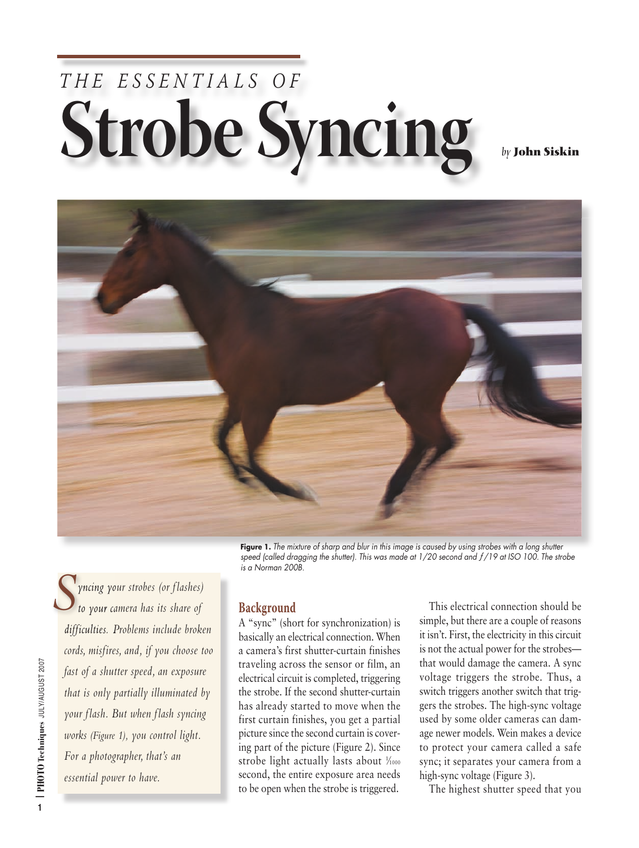## THE ESSENTIALS OF **Strobe Syncing** *by* **John Siskin**



Figure 1. The mixture of sharp and blur in this image is caused by using strobes with a long shutter *speed (called dragging the shutter). This was made at 1/20 second and ƒ/19 at ISO 100. The strobe is a Norman 200B.*

*yncing your strobes (or f lashes) to your camera has its share of difficulties. Problems include broken cords, misfires, and, if you choose too fast of a shutter speed, an exposure that is only partially illuminated by your f lash. But when f lash syncing works (Figure 1), you control light. For a photographer, that's an essential power to have. S*

## **Background**

A "sync" (short for synchronization) is basically an electrical connection. When a camera's first shutter-curtain finishes traveling across the sensor or film, an electrical circuit is completed, triggering the strobe. If the second shutter-curtain has already started to move when the first curtain finishes, you get a partial picture since the second curtain is covering part of the picture (Figure 2). Since strobe light actually lasts about  $\frac{1}{10000}$ second, the entire exposure area needs to be open when the strobe is triggered.

This electrical connection should be simple, but there are a couple of reasons it isn't. First, the electricity in this circuit is not the actual power for the strobes that would damage the camera. A sync voltage triggers the strobe. Thus, a switch triggers another switch that triggers the strobes. The high-sync voltage used by some older cameras can damage newer models. Wein makes a device to protect your camera called a safe sync; it separates your camera from a high-sync voltage (Figure 3).

The highest shutter speed that you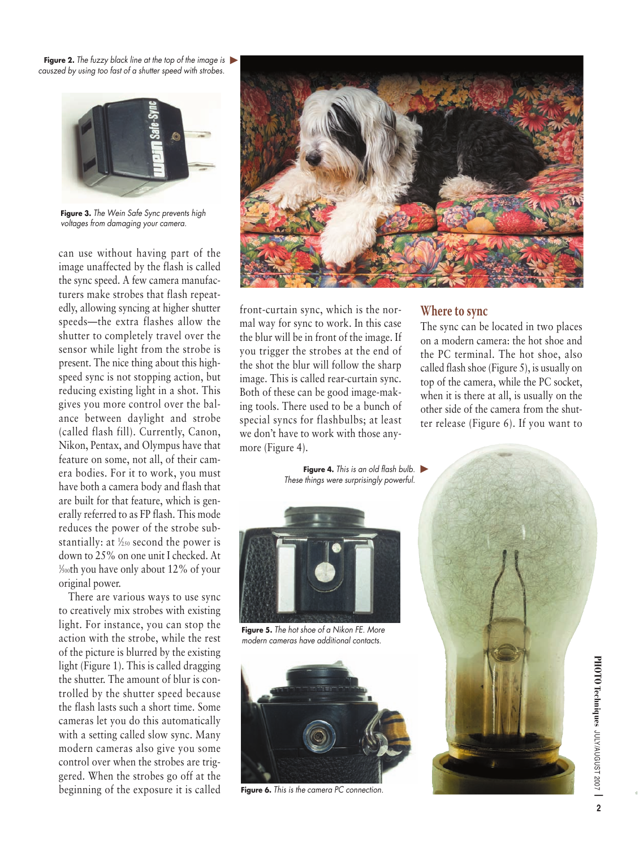**Figure 2.** *The fuzzy black line at the top of the image is* ▲ *causzed by using too fast of a shutter speed with strobes.*



**Figure 3.** *The Wein Safe Sync prevents high voltages from damaging your camera.*

can use without having part of the image unaffected by the flash is called the sync speed. A few camera manufacturers make strobes that flash repeatedly, allowing syncing at higher shutter speeds—the extra flashes allow the shutter to completely travel over the sensor while light from the strobe is present. The nice thing about this highspeed sync is not stopping action, but reducing existing light in a shot. This gives you more control over the balance between daylight and strobe (called flash fill). Currently, Canon, Nikon, Pentax, and Olympus have that feature on some, not all, of their camera bodies. For it to work, you must have both a camera body and flash that are built for that feature, which is generally referred to as FP flash. This mode reduces the power of the strobe substantially: at  $\frac{1}{250}$  second the power is down to 25% on one unit I checked. At 1 ⁄500th you have only about 12% of your original power.

There are various ways to use sync to creatively mix strobes with existing light. For instance, you can stop the action with the strobe, while the rest of the picture is blurred by the existing light (Figure 1). This is called dragging the shutter. The amount of blur is controlled by the shutter speed because the flash lasts such a short time. Some cameras let you do this automatically with a setting called slow sync. Many modern cameras also give you some control over when the strobes are triggered. When the strobes go off at the beginning of the exposure it is called



front-curtain sync, which is the normal way for sync to work. In this case the blur will be in front of the image. If you trigger the strobes at the end of the shot the blur will follow the sharp image. This is called rear-curtain sync. Both of these can be good image-making tools. There used to be a bunch of special syncs for flashbulbs; at least we don't have to work with those anymore (Figure 4).

## **Where to sync**

The sync can be located in two places on a modern camera: the hot shoe and the PC terminal. The hot shoe, also called flash shoe (Figure 5), is usually on top of the camera, while the PC socket, when it is there at all, is usually on the other side of the camera from the shutter release (Figure 6). If you want to

**Figure 4.** *This is an old flash bulb.* ▲ *These things were surprisingly powerful.*



**Figure 5.** *The hot shoe of a Nikon FE. More modern cameras have additional contacts.*



**Figure 6.** *This is the camera PC connection.*



**Techniques** JULY/AUGUST 2007 **|**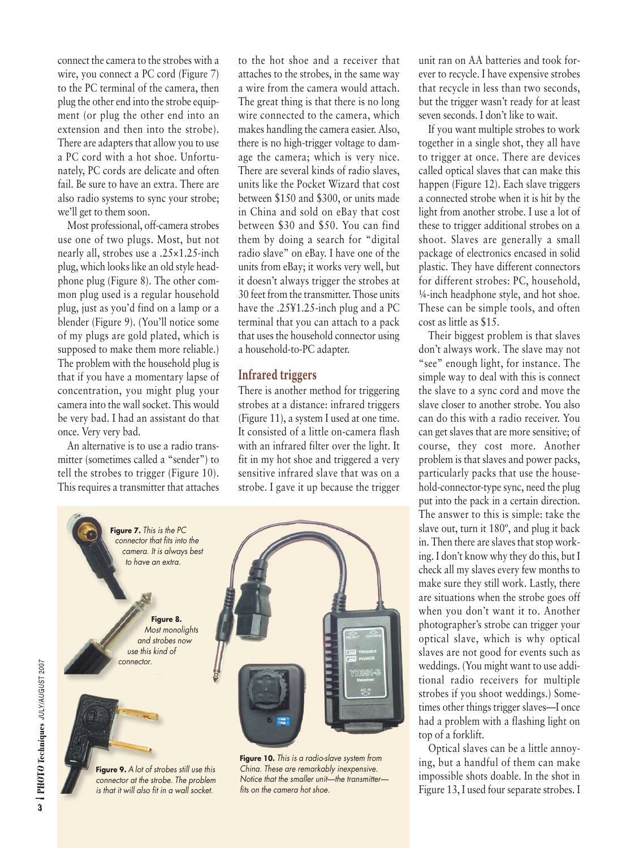connect the camera to the strobes with a wire, you connect a PC cord (Figure 7) to the PC terminal of the camera, then plug the other end into the strobe equipment (or plug the other end into an extension and then into the strobe). There are adapters that allow you to use a PC cord with a hot shoe. Unfortunately, PC cords are delicate and often fail. Be sure to have an extra. There are also radio systems to sync your strobe; we'll get to them soon.

Most professional, off-camera strobes use one of two plugs. Most, but not nearly all, strobes use a .25×1.25-inch plug, which looks like an old style headphone plug (Figure 8). The other common plug used is a regular household plug, just as you'd find on a lamp or a blender (Figure 9). (You'll notice some of my plugs are gold plated, which is supposed to make them more reliable.) The problem with the household plug is that if you have a momentary lapse of concentration, you might plug your camera into the wall socket. This would be very bad. I had an assistant do that once. Very very bad.

An alternative is to use a radio transmitter (sometimes called a "sender") to tell the strobes to trigger (Figure 10). This requires a transmitter that attaches

to the hot shoe and a receiver that attaches to the strobes, in the same way a wire from the camera would attach. The great thing is that there is no long wire connected to the camera, which makes handling the camera easier. Also, there is no high-trigger voltage to damage the camera; which is very nice. There are several kinds of radio slaves, units like the Pocket Wizard that cost between \$150 and \$300, or units made in China and sold on eBay that cost between \$30 and \$50. You can find them by doing a search for "digital radio slave" on eBay. I have one of the units from eBay; it works very well, but it doesn't always trigger the strobes at 30 feet from the transmitter. Those units have the .25¥1.25-inch plug and a PC terminal that you can attach to a pack that uses the household connector using a household-to-PC adapter.

## **Infrared triggers**

There is another method for triggering strobes at a distance: infrared triggers (Figure 11), a system I used at one time. It consisted of a little on-camera flash with an infrared filter over the light. It fit in my hot shoe and triggered a very sensitive infrared slave that was on a strobe. I gave it up because the trigger



**Figure 9.** *A lot of strobes still use this connector at the strobe. The problem is that it will also fit in a wall socket.*

*China. These are remarkably inexpensive. Notice that the smaller unit—the transmitter fits on the camera hot shoe.*

unit ran on AA batteries and took forever to recycle. I have expensive strobes that recycle in less than two seconds, but the trigger wasn't ready for at least seven seconds. I don't like to wait.

If you want multiple strobes to work together in a single shot, they all have to trigger at once. There are devices called optical slaves that can make this happen (Figure 12). Each slave triggers a connected strobe when it is hit by the light from another strobe. I use a lot of these to trigger additional strobes on a shoot. Slaves are generally a small package of electronics encased in solid plastic. They have different connectors for different strobes: PC, household, ¼-inch headphone style, and hot shoe. These can be simple tools, and often cost as little as \$15.

Their biggest problem is that slaves don't always work. The slave may not "see" enough light, for instance. The simple way to deal with this is connect the slave to a sync cord and move the slave closer to another strobe. You also can do this with a radio receiver. You can get slaves that are more sensitive; of course, they cost more. Another problem is that slaves and power packs, particularly packs that use the household-connector-type sync, need the plug put into the pack in a certain direction. The answer to this is simple: take the slave out, turn it 180º, and plug it back in. Then there are slaves that stop working. I don't know why they do this, but I check all my slaves every few months to make sure they still work. Lastly, there are situations when the strobe goes off when you don't want it to. Another photographer's strobe can trigger your optical slave, which is why optical slaves are not good for events such as weddings. (You might want to use additional radio receivers for multiple strobes if you shoot weddings.) Sometimes other things trigger slaves—I once had a problem with a flashing light on top of a forklift.

Optical slaves can be a little annoying, but a handful of them can make impossible shots doable. In the shot in Figure 13, I used four separate strobes. I